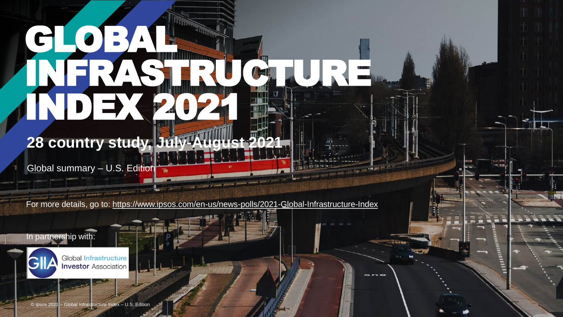# GLOBAL. INFRASTRURE. DIEX 2021

**28 country study, July-August 20** 

Global summary - U.S. Edition

For more details, go to:<https://www.ipsos.com/en-us/news-polls/2021-Global-Infrastructure-Index>

In partnership with:



**Investor Association**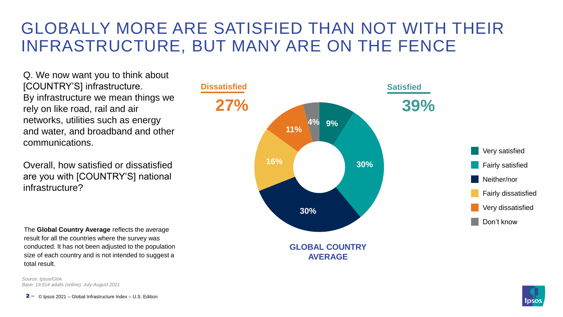## GLOBALLY MORE ARE SATISFIED THAN NOT WITH THEIR INFRASTRUCTURE, BUT MANY ARE ON THE FENCE

Q. We now want you to think about [COUNTRY'S] infrastructure. By infrastructure we mean things we rely on like road, rail and air networks, utilities such as energy and water, and broadband and other communications.

Overall, how satisfied or dissatisfied are you with [COUNTRY'S] national infrastructure?

The **Global Country Average** reflects the average result for all the countries where the survey was conducted. It has not been adjusted to the population size of each country and is not intended to suggest a total result.

*Source: Ipsos/GIIA Base: 19,514 adults (online), July-August 2021*

© Ipsos 2021 – Global Infrastructure Index – U.S. Edition  $2 -$ 



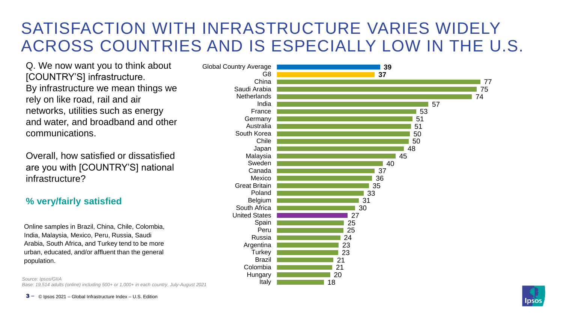## SATISFACTION WITH INFRASTRUCTURE VARIES WIDELY ACROSS COUNTRIES AND IS ESPECIALLY LOW IN THE U.S.

Q. We now want you to think about [COUNTRY'S] infrastructure. By infrastructure we mean things we rely on like road, rail and air networks, utilities such as energy and water, and broadband and other communications.

Overall, how satisfied or dissatisfied are you with [COUNTRY'S] national infrastructure?

#### **% very/fairly satisfied**

Online samples in Brazil, China, Chile, Colombia, India, Malaysia, Mexico, Peru, Russia, Saudi Arabia, South Africa, and Turkey tend to be more urban, educated, and/or affluent than the general population.

*Source: Ipsos/GIIA Base: 19,514 adults (online) including 500+ or 1,000+ in each country, July-August 2021*





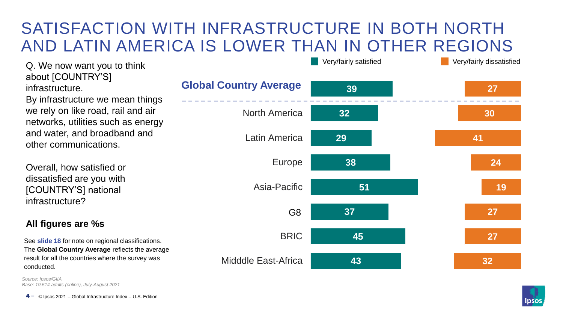## SATISFACTION WITH INFRASTRUCTURE IN BOTH NORTH AND LATIN AMERICA IS LOWER THAN IN OTHER REGIONS

Q. We now want you to think about [COUNTRY'S] infrastructure.

By infrastructure we mean things we rely on like road, rail and air networks, utilities such as energy and water, and broadband and other communications.

Overall, how satisfied or dissatisfied are you with [COUNTRY'S] national infrastructure?

#### **All figures are %s**

See **slide 18** for note on regional classifications. The **Global Country Average** reflects the average result for all the countries where the survey was conducted.

*Source: Ipsos/GIIA Base: 19,514 adults (online), July-August 2021*

© Ipsos 2021 – Global Infrastructure Index – U.S. Edition 4 **‒**

|                               | Very/fairly satisfied | Very/fairly dissatisfied |
|-------------------------------|-----------------------|--------------------------|
| <b>Global Country Average</b> | 39                    | <b>27</b>                |
| <b>North America</b>          | 32                    | 30                       |
| <b>Latin America</b>          | 29                    | 41                       |
| Europe                        | 38                    | 24                       |
| Asia-Pacific                  | 51                    | 19                       |
| G <sub>8</sub>                | 37                    | 27                       |
| <b>BRIC</b>                   | 45                    | 27                       |
| <b>Midddle East-Africa</b>    | 43                    | 32                       |



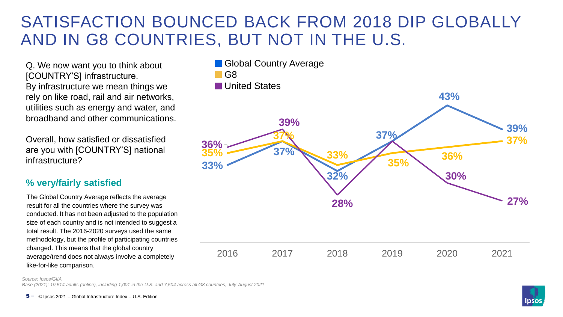## SATISFACTION BOUNCED BACK FROM 2018 DIP GLOBALLY AND IN G8 COUNTRIES, BUT NOT IN THE U.S.

Q. We now want you to think about [COUNTRY'S] infrastructure. By infrastructure we mean things we rely on like road, rail and air networks, utilities such as energy and water, and broadband and other communications.

Overall, how satisfied or dissatisfied are you with [COUNTRY'S] national infrastructure?

#### **% very/fairly satisfied**

The Global Country Average reflects the average result for all the countries where the survey was conducted. It has not been adjusted to the population size of each country and is not intended to suggest a total result. The 2016-2020 surveys used the same methodology, but the profile of participating countries changed. This means that the global country average/trend does not always involve a completely like-for-like comparison.



*Source: Ipsos/GIIA*

*Base (2021): 19,514 adults (online), including 1,001 in the U.S. and 7,504 across all G8 countries, July-August 2021*

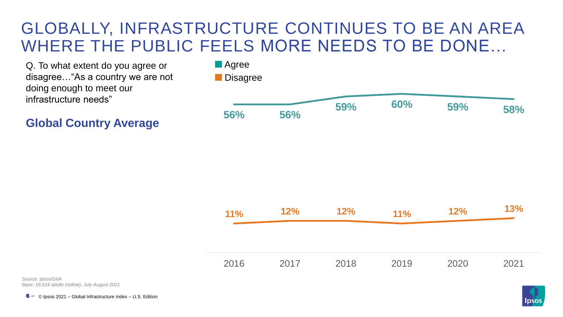## GLOBALLY, INFRASTRUCTURE CONTINUES TO BE AN AREA WHERE THE PUBLIC FEELS MORE NEEDS TO BE DONE…

Q. To what extent do you agree or disagree…"As a country we are not doing enough to meet our infrastructure needs"

**Global Country Average**



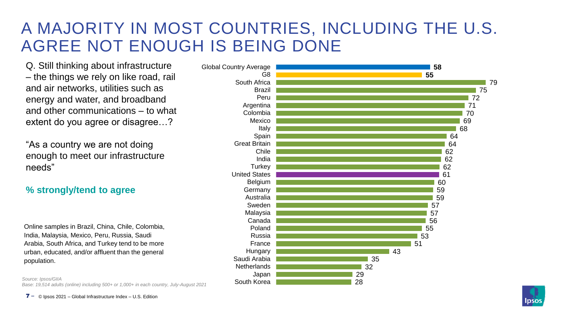## A MAJORITY IN MOST COUNTRIES, INCLUDING THE U.S. AGREE NOT ENOUGH IS BEING DONE

Q. Still thinking about infrastructure – the things we rely on like road, rail and air networks, utilities such as energy and water, and broadband and other communications – to what extent do you agree or disagree…?

"As a country we are not doing enough to meet our infrastructure needs"

#### **% strongly/tend to agree**

Online samples in Brazil, China, Chile, Colombia, India, Malaysia, Mexico, Peru, Russia, Saudi Arabia, South Africa, and Turkey tend to be more urban, educated, and/or affluent than the general population.

*Source: Ipsos/GIIA Base: 19,514 adults (online) including 500+ or 1,000+ in each country, July-August 2021*





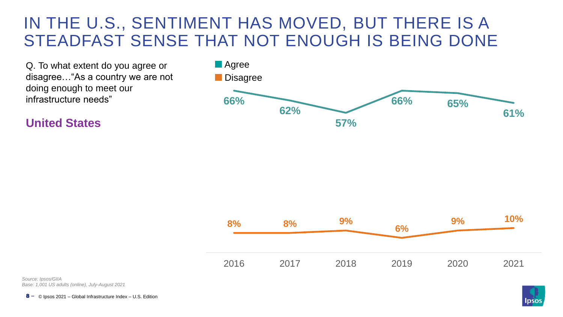## IN THE U.S., SENTIMENT HAS MOVED, BUT THERE IS A STEADFAST SENSE THAT NOT ENOUGH IS BEING DONE

Q. To what extent do you agree or disagree…"As a country we are not doing enough to meet our infrastructure needs"

**United States**





*Source: Ipsos/GIIA Base: 1,001 US adults (online), July-August 2021*

© Ipsos 2021 – Global Infrastructure Index – U.S. Edition 8 **‒**

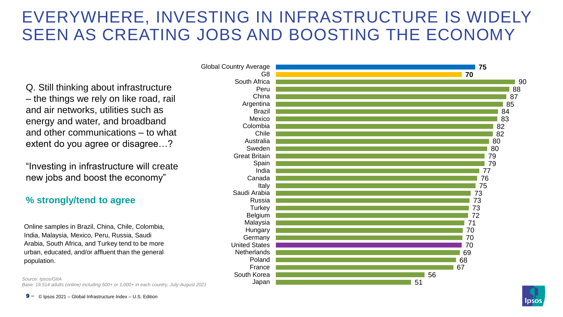## EVERYWHERE, INVESTING IN INFRASTRUCTURE IS WIDELY SEEN AS CREATING JOBS AND BOOSTING THE ECONOMY

Q. Still thinking about infrastructure – the things we rely on like road, rail and air networks, utilities such as energy and water, and broadband and other communications – to what extent do you agree or disagree…?

"Investing in infrastructure will create new jobs and boost the economy"

#### **% strongly/tend to agree**

Online samples in Brazil, China, Chile, Colombia, India, Malaysia, Mexico, Peru, Russia, Saudi Arabia, South Africa, and Turkey tend to be more urban, educated, and/or affluent than the general population.

*Source: Ipsos/GIIA Base: 19,514 adults (online) including 500+ or 1,000+ in each country, July-August 2021*





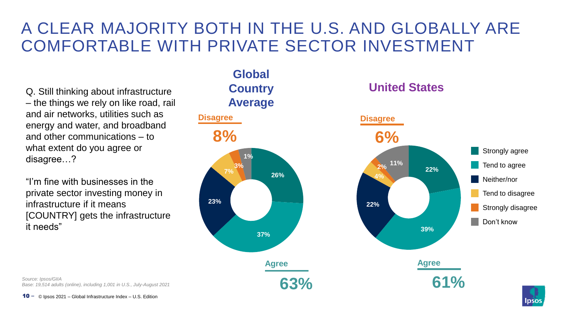## A CLEAR MAJORITY BOTH IN THE U.S. AND GLOBALLY ARE COMFORTABLE WITH PRIVATE SECTOR INVESTMENT

Q. Still thinking about infrastructure – the things we rely on like road, rail and air networks, utilities such as energy and water, and broadband and other communications – to what extent do you agree or disagree…?

"I'm fine with businesses in the private sector investing money in infrastructure if it means [COUNTRY] gets the infrastructure it needs"

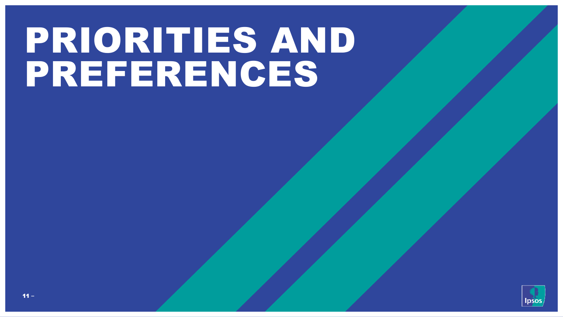## PRIORITIES AND PREFERENCES

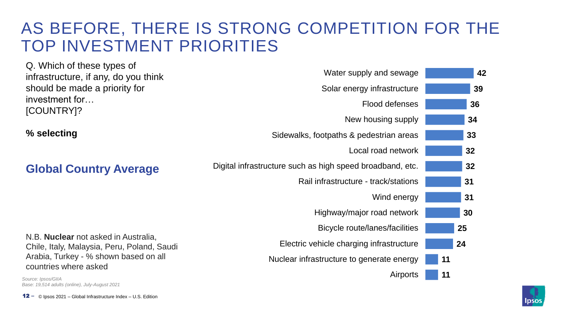## AS BEFORE, THERE IS STRONG COMPETITION FOR THE TOP INVESTMENT PRIORITIES

| Q. Which of these types of                                                                 |                                                           |    |
|--------------------------------------------------------------------------------------------|-----------------------------------------------------------|----|
| infrastructure, if any, do you think                                                       | Water supply and sewage                                   | 42 |
| should be made a priority for                                                              | Solar energy infrastructure                               | 39 |
| investment for<br>[COUNTRY]?                                                               | Flood defenses                                            | 36 |
|                                                                                            | New housing supply                                        | 34 |
| % selecting                                                                                | Sidewalks, footpaths & pedestrian areas                   | 33 |
|                                                                                            | Local road network                                        | 32 |
| <b>Global Country Average</b>                                                              | Digital infrastructure such as high speed broadband, etc. | 32 |
|                                                                                            | Rail infrastructure - track/stations                      | 31 |
|                                                                                            | Wind energy                                               | 31 |
|                                                                                            | Highway/major road network                                | 30 |
|                                                                                            | Bicycle route/lanes/facilities                            | 25 |
| N.B. <b>Nuclear</b> not asked in Australia,<br>Chile, Italy, Malaysia, Peru, Poland, Saudi | Electric vehicle charging infrastructure                  | 24 |
| Arabia, Turkey - % shown based on all<br>countries where asked                             | Nuclear infrastructure to generate energy                 | 11 |
| Source: Ipsos/GIIA<br>Base: 19.514 adults (online), July-August 2021                       | Airports                                                  | 11 |

12 – © Ipsos 2021 - Global Infrastructure Index - U.S. Edition

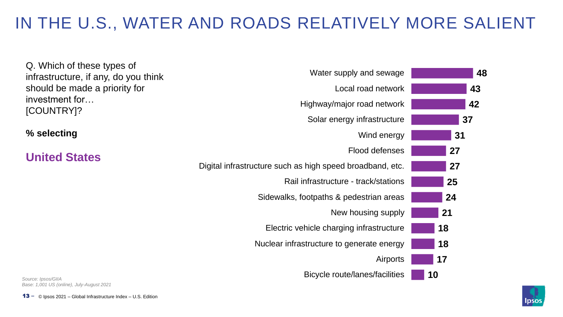## IN THE U.S., WATER AND ROADS RELATIVELY MORE SALIENT

| Q. Which of these types of                                            | Water supply and sewage                                   | 48 |
|-----------------------------------------------------------------------|-----------------------------------------------------------|----|
| infrastructure, if any, do you think<br>should be made a priority for | Local road network                                        | 43 |
| investment for                                                        | Highway/major road network                                | 42 |
| [COUNTRY]?                                                            | Solar energy infrastructure                               | 37 |
| % selecting                                                           | Wind energy                                               | 31 |
| <b>United States</b>                                                  | Flood defenses                                            | 27 |
|                                                                       | Digital infrastructure such as high speed broadband, etc. | 27 |
|                                                                       | Rail infrastructure - track/stations                      | 25 |
|                                                                       | Sidewalks, footpaths & pedestrian areas                   | 24 |
|                                                                       | New housing supply                                        | 21 |
|                                                                       | Electric vehicle charging infrastructure                  | 18 |
|                                                                       | Nuclear infrastructure to generate energy                 | 18 |
|                                                                       | Airports                                                  | 17 |
| Source: Ipsos/GIIA                                                    | Bicycle route/lanes/facilities                            | 10 |

*Base: 1,001 US (online), July-August 2021*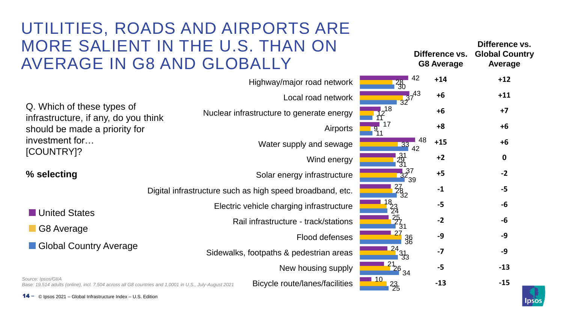## UTILITIES, ROADS AND AIRPORTS ARE MORE SALIENT IN THE U.S. THAN ON AVERAGE IN G8 AND GLOBALLY

|                       | $+14$                                                                                                                                                  | $+12$       |
|-----------------------|--------------------------------------------------------------------------------------------------------------------------------------------------------|-------------|
|                       | $+6$                                                                                                                                                   | $+11$       |
|                       | $+6$                                                                                                                                                   | $+7$        |
|                       | $+8$                                                                                                                                                   | $+6$        |
| 48<br><b>33</b><br>42 | $+15$                                                                                                                                                  | $+6$        |
| 231<br>31             | $+2$                                                                                                                                                   | $\mathbf 0$ |
|                       | $+5$                                                                                                                                                   | $-2$        |
|                       | $-1$                                                                                                                                                   | $-5$        |
| 23<br>24              | $-5$                                                                                                                                                   | -6          |
|                       | $-2$                                                                                                                                                   | -6          |
| 36                    | $-9$                                                                                                                                                   | $-9$        |
|                       | $-7$                                                                                                                                                   | $-9$        |
|                       | $-5$                                                                                                                                                   | $-13$       |
| 23/25                 | $-13$                                                                                                                                                  | $-15$       |
|                       | 42<br>$\frac{28}{30}$<br>$32^{37^{43}}$<br>$\sqrt{12}^{18}$<br>$32^{37}_{39}$<br>$\frac{27}{32}$<br>$\frac{25}{131}$<br>$\frac{24}{33}$<br>$-21/26$ 34 |             |

© Ipsos 2021 – Global Infrastructure Index – U.S. Edition 14 **‒**



**Difference vs. Global Country** 

**Difference vs.** 

**Average**

**G8 Average**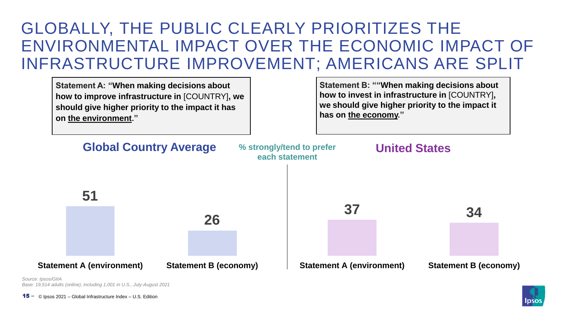## GLOBALLY, THE PUBLIC CLEARLY PRIORITIZES THE ENVIRONMENTAL IMPACT OVER THE ECONOMIC IMPACT OF INFRASTRUCTURE IMPROVEMENT; AMERICANS ARE SPLIT



*Source: Ipsos/GIIA Base: 19,514 adults (online), including 1,001 in U.S., July-August 2021*

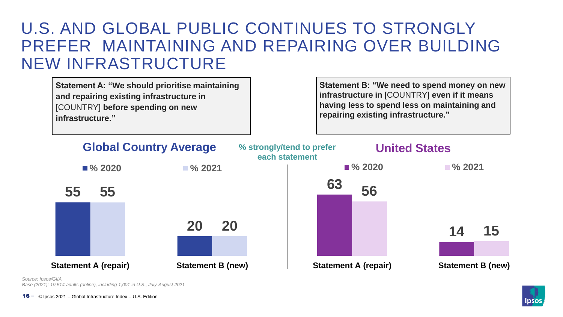### U.S. AND GLOBAL PUBLIC CONTINUES TO STRONGLY PREFER MAINTAINING AND REPAIRING OVER BUILDING NEW INFRASTRUCTURE

**Statement A: "We should prioritise maintaining and repairing existing infrastructure in**  [COUNTRY] **before spending on new infrastructure."**

**Statement B: "We need to spend money on new infrastructure in** [COUNTRY] **even if it means having less to spend less on maintaining and repairing existing infrastructure."**



*Source: Ipsos/GIIA*

*Base (2021): 19,514 adults (online), including 1,001 in U.S., July-August 2021*

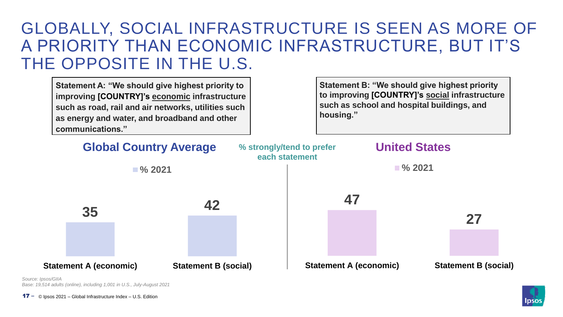### GLOBALLY, SOCIAL INFRASTRUCTURE IS SEEN AS MORE OF A PRIORITY THAN ECONOMIC INFRASTRUCTURE, BUT IT'S THE OPPOSITE IN THE U.S.

**Statement A: "We should give highest priority to improving [COUNTRY]'s economic infrastructure such as road, rail and air networks, utilities such as energy and water, and broadband and other communications."**

**Statement B: "We should give highest priority to improving [COUNTRY]'s social infrastructure such as school and hospital buildings, and housing."**

| <b>Global Country Average</b> |                       | % strongly/tend to prefer<br>each statement |  | <b>United States</b>          |                       |  |                             |  |
|-------------------------------|-----------------------|---------------------------------------------|--|-------------------------------|-----------------------|--|-----------------------------|--|
|                               | $\blacksquare$ % 2021 |                                             |  |                               | $\blacksquare$ % 2021 |  |                             |  |
|                               |                       | 42                                          |  |                               | 47                    |  |                             |  |
| 35                            |                       |                                             |  |                               |                       |  | 27                          |  |
|                               |                       |                                             |  |                               |                       |  |                             |  |
| <b>Statement A (economic)</b> |                       | <b>Statement B (social)</b>                 |  | <b>Statement A (economic)</b> |                       |  | <b>Statement B (social)</b> |  |

*Source: Ipsos/GIIA Base: 19,514 adults (online), including 1,001 in U.S., July-August 2021*

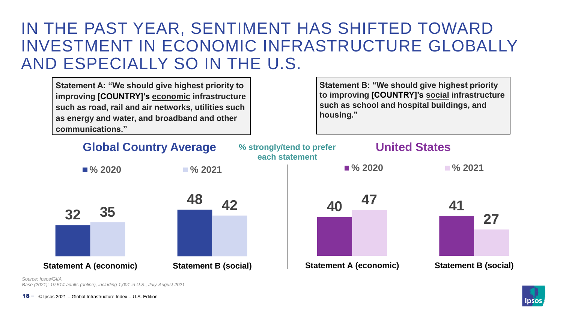## IN THE PAST YEAR, SENTIMENT HAS SHIFTED TOWARD INVESTMENT IN ECONOMIC INFRASTRUCTURE GLOBALLY AND ESPECIALLY SO IN THE U.S.

**Statement A: "We should give highest priority to improving [COUNTRY]'s economic infrastructure such as road, rail and air networks, utilities such as energy and water, and broadband and other communications."**

**Statement B: "We should give highest priority to improving [COUNTRY]'s social infrastructure such as school and hospital buildings, and housing."**



*Base (2021): 19,514 adults (online), including 1,001 in U.S., July-August 2021*

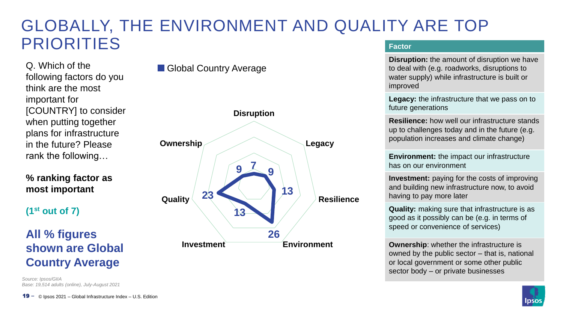#### GLOBALLY, THE ENVIRONMENT AND QUALITY ARE TOP PRIORITIES **Factor**

Q. Which of the following factors do you think are the most important for [COUNTRY] to consider when putting together plans for infrastructure in the future? Please rank the following…

**% ranking factor as most important**

**(1st out of 7)**

### **All % figures shown are Global Country Average**

*Source: Ipsos/GIIA Base: 19,514 adults (online), July-August 2021*



Global Country Average



**Disruption:** the amount of disruption we have to deal with (e.g. roadworks, disruptions to water supply) while infrastructure is built or improved

**Legacy:** the infrastructure that we pass on to future generations

**Resilience:** how well our infrastructure stands up to challenges today and in the future (e.g. population increases and climate change)

**Environment:** the impact our infrastructure has on our environment

**Investment:** paying for the costs of improving and building new infrastructure now, to avoid having to pay more later

**Quality:** making sure that infrastructure is as good as it possibly can be (e.g. in terms of speed or convenience of services)

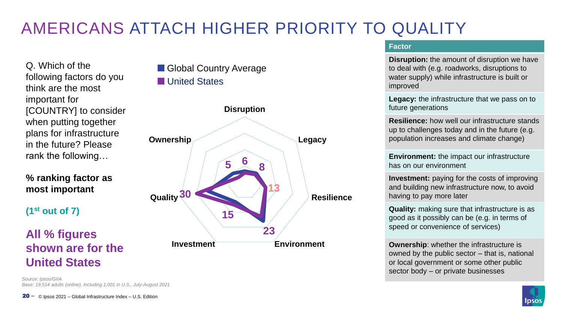## AMERICANS ATTACH HIGHER PRIORITY TO QUALITY

Q. Which of the following factors do you think are the most important for [COUNTRY] to consider when putting together plans for infrastructure in the future? Please rank the following…

**% ranking factor as most important**

**(1st out of 7)**

### **All % figures shown are for the United States**

*Source: Ipsos/GIIA Base: 19,514 adults (online), including 1,001 in U.S., July-August 2021*

#### Global Country Average **Lunited States**



#### **Factor**

**Disruption:** the amount of disruption we have to deal with (e.g. roadworks, disruptions to water supply) while infrastructure is built or improved

**Legacy:** the infrastructure that we pass on to future generations

**Resilience:** how well our infrastructure stands up to challenges today and in the future (e.g. population increases and climate change)

**Environment:** the impact our infrastructure has on our environment

**Investment:** paying for the costs of improving and building new infrastructure now, to avoid having to pay more later

**Quality:** making sure that infrastructure is as good as it possibly can be (e.g. in terms of speed or convenience of services)

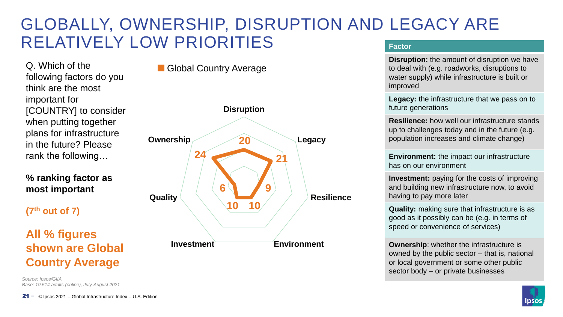#### GLOBALLY, OWNERSHIP, DISRUPTION AND LEGACY ARE RELATIVELY LOW PRIORITIES **Factor**

Q. Which of the following factors do you think are the most important for [COUNTRY] to consider when putting together plans for infrastructure in the future? Please rank the following…

#### **% ranking factor as most important**

**(7th out of 7)**

### **All % figures shown are Global Country Average**

*Source: Ipsos/GIIA Base: 19,514 adults (online), July-August 2021*



**Global Country Average** 



**Disruption:** the amount of disruption we have to deal with (e.g. roadworks, disruptions to water supply) while infrastructure is built or improved

**Legacy:** the infrastructure that we pass on to future generations

**Resilience:** how well our infrastructure stands up to challenges today and in the future (e.g. population increases and climate change)

**Environment:** the impact our infrastructure has on our environment

**Investment:** paying for the costs of improving and building new infrastructure now, to avoid having to pay more later

**Quality:** making sure that infrastructure is as good as it possibly can be (e.g. in terms of speed or convenience of services)

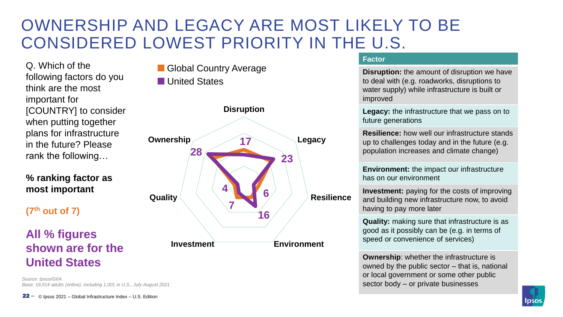## OWNERSHIP AND LEGACY ARE MOST LIKELY TO BE CONSIDERED LOWEST PRIORITY IN THE U.S.

Q. Which of the following factors do you think are the most important for [COUNTRY] to consider when putting together plans for infrastructure in the future? Please rank the following…

#### **% ranking factor as most important**

**(7th out of 7)**

#### **All % figures shown are for the United States**

*Source: Ipsos/GIIA Base: 19,514 adults (online), including 1,001 in U.S., July-August 2021*



**Global Country Average United States** 



#### **Factor**

**Disruption:** the amount of disruption we have to deal with (e.g. roadworks, disruptions to water supply) while infrastructure is built or improved

**Legacy:** the infrastructure that we pass on to future generations

**Resilience:** how well our infrastructure stands up to challenges today and in the future (e.g. population increases and climate change)

**Environment:** the impact our infrastructure has on our environment

**Investment:** paying for the costs of improving and building new infrastructure now, to avoid having to pay more later

**Quality:** making sure that infrastructure is as good as it possibly can be (e.g. in terms of speed or convenience of services)

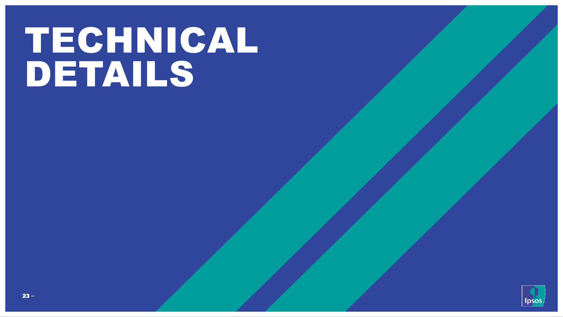## TECHNICAL DETAILS

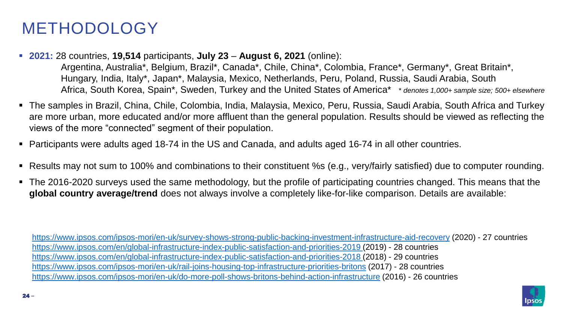## METHODOLOGY

▪ **2021:** 28 countries, **19,514** participants, **July 23** – **August 6, 2021** (online):

Argentina, Australia\*, Belgium, Brazil\*, Canada\*, Chile, China\*, Colombia, France\*, Germany\*, Great Britain\*, Hungary, India, Italy\*, Japan\*, Malaysia, Mexico, Netherlands, Peru, Poland, Russia, Saudi Arabia, South Africa, South Korea, Spain\*, Sweden, Turkey and the United States of America\* \* *denotes 1,000+ sample size; 500+ elsewhere*

- The samples in Brazil, China, Chile, Colombia, India, Malaysia, Mexico, Peru, Russia, Saudi Arabia, South Africa and Turkey are more urban, more educated and/or more affluent than the general population. Results should be viewed as reflecting the views of the more "connected" segment of their population.
- Participants were adults aged 18-74 in the US and Canada, and adults aged 16-74 in all other countries.
- Results may not sum to 100% and combinations to their constituent %s (e.g., very/fairly satisfied) due to computer rounding.
- The 2016-2020 surveys used the same methodology, but the profile of participating countries changed. This means that the **global country average/trend** does not always involve a completely like-for-like comparison. Details are available:

<https://www.ipsos.com/ipsos-mori/en-uk/survey-shows-strong-public-backing-investment-infrastructure-aid-recovery> (2020) - 27 countries [https://www.ipsos.com/en/global-infrastructure-index-public-satisfaction-and-priorities-2019 \(](https://www.ipsos.com/en/global-infrastructure-index-public-satisfaction-and-priorities-2018)2019) - 28 countries [https://www.ipsos.com/en/global-infrastructure-index-public-satisfaction-and-priorities-2018 \(](https://www.ipsos.com/en/global-infrastructure-index-public-satisfaction-and-priorities-2018)2018) - 29 countries <https://www.ipsos.com/ipsos-mori/en-uk/rail-joins-housing-top-infrastructure-priorities-britons> (2017) - 28 countries <https://www.ipsos.com/ipsos-mori/en-uk/do-more-poll-shows-britons-behind-action-infrastructure> (2016) - 26 countries

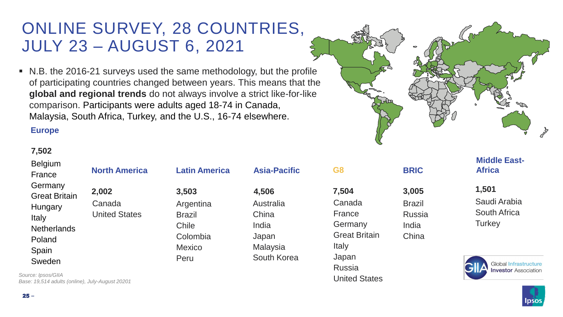## ONLINE SURVEY, 28 COUNTRIES, JULY 23 – AUGUST 6, 2021

■ N.B. the 2016-21 surveys used the same methodology, but the profile of participating countries changed between years. This means that the **global and regional trends** do not always involve a strict like-for-like comparison. Participants were adults aged 18-74 in Canada, Malaysia, South Africa, Turkey, and the U.S., 16-74 elsewhere.

#### **Europe**

United States

#### **7,502**

25 **‒**

| <b>Belgium</b><br>France        | <b>North America</b> | <b>Latin America</b> | <b>Asia-Pacific</b> | G <sub>8</sub>       | <b>BRIC</b>   | <b>Middle East-</b><br><b>Africa</b>           |
|---------------------------------|----------------------|----------------------|---------------------|----------------------|---------------|------------------------------------------------|
| Germany<br><b>Great Britain</b> | 2,002                | 3,503                | 4,506               | 7,504                | 3,005         | 1,501                                          |
| Hungary                         | Canada               | Argentina            | Australia           | Canada               | <b>Brazil</b> | Saudi Arabia                                   |
| Italy                           | <b>United States</b> | <b>Brazil</b>        | China               | France               | Russia        | South Africa                                   |
| <b>Netherlands</b>              |                      | Chile                | India               | Germany              | India         | Turkey                                         |
| Poland                          |                      | Colombia             | Japan               | <b>Great Britain</b> | China         |                                                |
| Spain                           |                      | <b>Mexico</b>        | <b>Malaysia</b>     | Italy                |               |                                                |
| Sweden                          |                      | Peru                 | South Korea         | Japan                |               |                                                |
|                                 |                      |                      |                     | Russia               |               | <b>Global Infrastr</b><br><b>Investor Asso</b> |

*Source: Ipsos/GIIA Base: 19,514 adults (online), July-August 20201*